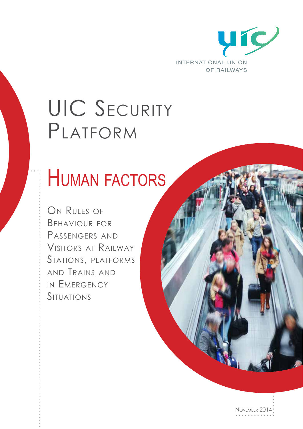

## UIC SECURITY Platform

## Human factors

ON RULES OF Behaviour for Passengers and Visitors at Railway Stations, platforms and Trains and in Emergency **SITUATIONS** 

November 2014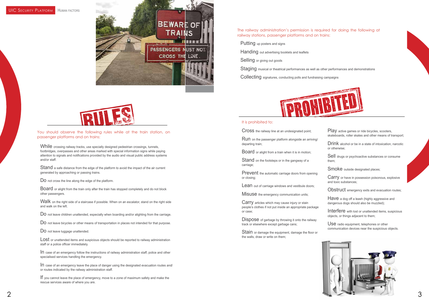



### UIC SECURITY PLATFORM HUMAN FACTORS





You should observe the following rules while at the train station, on passenger platforms and on trains:

While crossing railway tracks, use specially designed pedestrian crossings, tunnels, footbridges, overpasses and other areas marked with special information signs while paying attention to signals and notifications provided by the audio and visual public address systems and/or staff.

Stand a safe distance from the edge of the platform to avoid the impact of the air current generated by approaching or passing trains.

DO not cross the line along the edge of the platform.

Walk on the right side of a staircase if possible. When on an escalator, stand on the right side and walk on the left.

DO not leave children unattended, especially when boarding and/or alighting from the carriage.

Do not leave bicycles or other means of transportation in places not intended for that purpose.

DO not leave luggage unattended.

LOSt or unattended items and suspicious objects should be reported to railway administration staff or a police officer immediately.

Board or alight from the train only after the train has stopped completely and do not block other passengers.

Play active games or ride bicycles, scooters, skateboards, roller skates and other means of transport;

Sell drugs or psychoactive substances or consume them;

Smoke outside designated places;

Have a dog off a leash (highly aggressive and dangerous dogs should also be muzzled);

In case of an emergency follow the instructions of railway administration staff, police and other specialised services handling the emergency.

Interfere with lost or unattended items, suspicious objects, or things adjacent to them;

USE radio equipment, telephones or other communication devices near the suspicious objects.

In case of an emergency leave the place of danger using the designated evacuation routes and/ or routes indicated by the railway administration staff.

Stand on the footsteps or in the gangway of a carriage;

Prevent the automatic carriage doors from opening or closing;

**Lean** out of carriage windows and vestibule doors:

MISUSE the emergency communication units;

If you cannot leave the place of emergency, move to a zone of maximum safety and make the rescue services aware of where you are.

Carry articles which may cause injury or stain people's clothes if not put inside an appropriate package or case;

Dispose of garbage by throwing it onto the railway track or elsewhere except garbage cans;

Stain or damage the equipment, damage the floor or the walls, draw or write on them;

The railway administration's permission is required for doing the following at railway stations, passenger platforms and on trains:

Putting up posters and signs

Handing out advertising booklets and leaflets

Selling or giving out goods

Staging musical or theatrical performances as well as other performances and demonstrations

Collecting signatures, conducting polls and fundraising campaigns



#### It is prohibited to:

Drink alcohol or be in a state of intoxication, narcotic or otherwise;

Carry or have in possession poisonous, explosive and toxic substances;

Obstruct emergency exits and evacuation routes;

Cross the railway line at an undesignated point;

Run on the passenger platform alongside an arriving/ departing train;

Board or alight from a train when it is in motion;